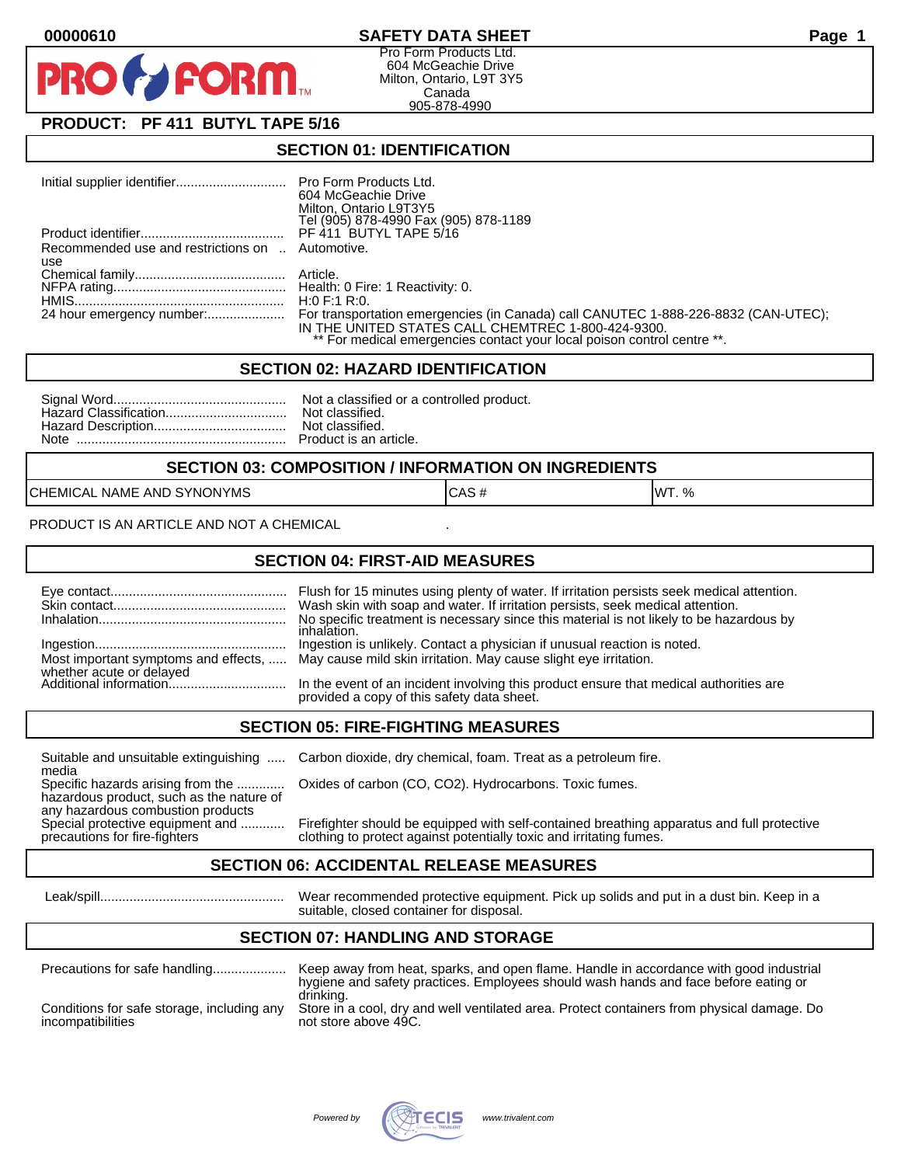## **00000610 SAFETY DATA SHEET Page 1**

Pro Form Products Ltd. 604 McGeachie Drive Milton, Ontario, L9T 3Y5 Canada 905-878-4990

# **PRODUCT: PF 411 BUTYL TAPE 5/16**

**FORM.** 

### **SECTION 01: IDENTIFICATION**

|                                                  | Pro Form Products Ltd.                                                             |
|--------------------------------------------------|------------------------------------------------------------------------------------|
|                                                  | 604 McGeachie Drive                                                                |
|                                                  | Milton, Ontario L9T3Y5                                                             |
|                                                  | Tel (905) 878-4990 Fax (905) 878-1189                                              |
|                                                  | PF 411 BUTYL TAPE 5/16                                                             |
| Recommended use and restrictions on  Automotive. |                                                                                    |
| use                                              |                                                                                    |
|                                                  |                                                                                    |
|                                                  |                                                                                    |
|                                                  | H:0 F:1 R:0.                                                                       |
|                                                  | For transportation emergencies (in Canada) call CANUTEC 1-888-226-8832 (CAN-UTEC); |
|                                                  | IN THE UNITED STATES CALL CHEMTREC 1-800-424-9300.                                 |
|                                                  | ** For medical emergencies contact your local poison control centre **.            |

#### **SECTION 02: HAZARD IDENTIFICATION**

#### **SECTION 03: COMPOSITION / INFORMATION ON INGREDIENTS**

CHEMICAL NAME AND SYNONYMS CASE CAS # CAS # WT. %

PRODUCT IS AN ARTICLE AND NOT A CHEMICAL

## **SECTION 04: FIRST-AID MEASURES**

|                                                    | Wash skin with soap and water. If irritation persists, seek medical attention.<br>No specific treatment is necessary since this material is not likely to be hazardous by<br>inhalation. |
|----------------------------------------------------|------------------------------------------------------------------------------------------------------------------------------------------------------------------------------------------|
|                                                    | Ingestion is unlikely. Contact a physician if unusual reaction is noted.<br>Most important symptoms and effects,  May cause mild skin irritation. May cause slight eye irritation.       |
| whether acute or delayed<br>Additional information | In the event of an incident involving this product ensure that medical authorities are<br>provided a copy of this safety data sheet.                                                     |

## **SECTION 05: FIRE-FIGHTING MEASURES**

media<br>Specific hazards arising from the .............

hazardous product, such as the nature of any hazardous combustion products<br>Special protective equipment and ............

Suitable and unsuitable extinguishing ..... Carbon dioxide, dry chemical, foam. Treat as a petroleum fire.

Oxides of carbon (CO, CO2). Hydrocarbons. Toxic fumes.

Firefighter should be equipped with self-contained breathing apparatus and full protective precautions for fire-fighters clothing to protect against potentially toxic and irritating fumes.

## **SECTION 06: ACCIDENTAL RELEASE MEASURES**

 Leak/spill.................................................. Wear recommended protective equipment. Pick up solids and put in a dust bin. Keep in a suitable, closed container for disposal.

# **SECTION 07: HANDLING AND STORAGE**

| Precautions for safe handling                                   | Keep away from heat, sparks, and open flame. Handle in accordance with good industrial<br>hygiene and safety practices. Employees should wash hands and face before eating or |
|-----------------------------------------------------------------|-------------------------------------------------------------------------------------------------------------------------------------------------------------------------------|
| Conditions for safe storage, including any<br>incompatibilities | drinking.<br>Store in a cool, dry and well ventilated area. Protect containers from physical damage. Do<br>not store above 49C.                                               |

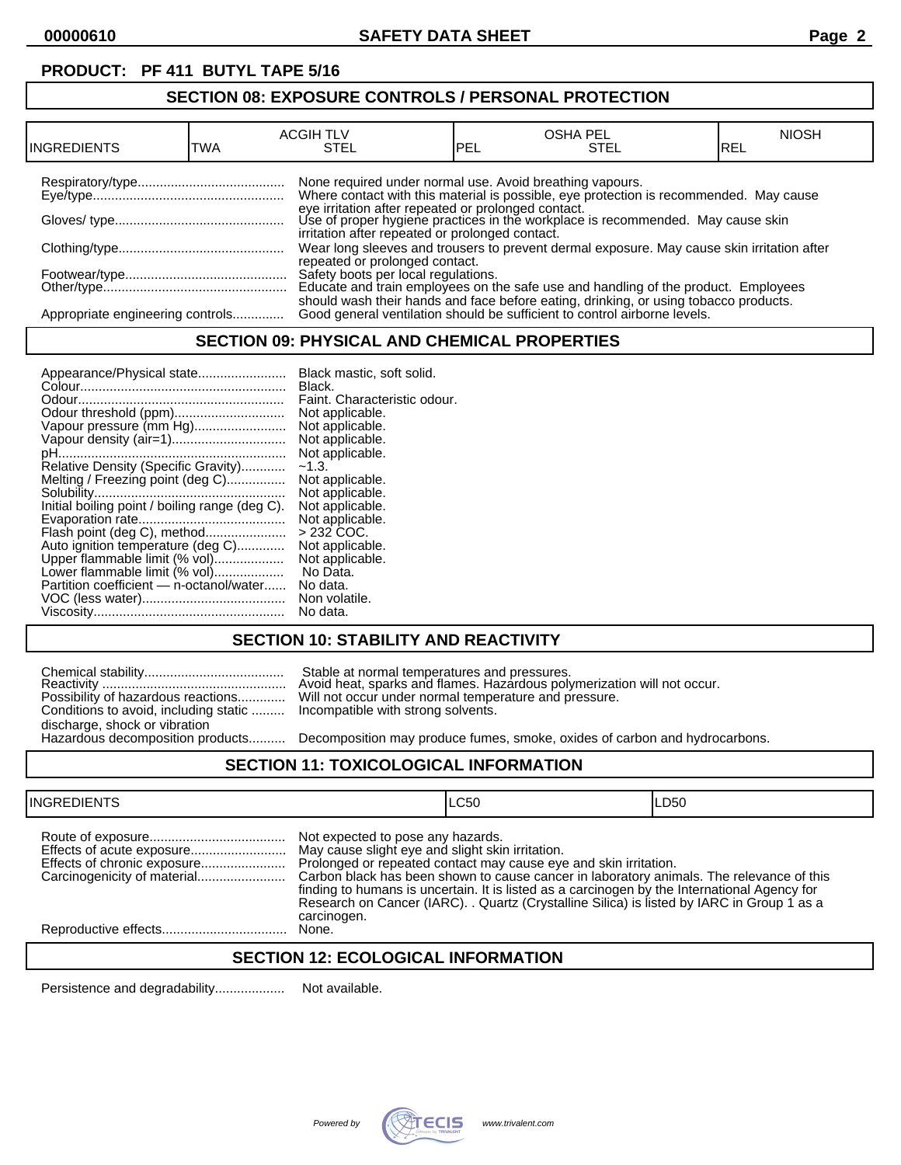# **PRODUCT: PF 411 BUTYL TAPE 5/16**

## **SECTION 08: EXPOSURE CONTROLS / PERSONAL PROTECTION**

| <b>INGREDIENTS</b>               | TWA | <b>ACGIH TLV</b><br>STEL                                 | PEL | <b>OSHA PEL</b><br>STEL                                                                                                                                                                                                          | <b>NIOSH</b><br>IREL |
|----------------------------------|-----|----------------------------------------------------------|-----|----------------------------------------------------------------------------------------------------------------------------------------------------------------------------------------------------------------------------------|----------------------|
|                                  |     | None required under normal use. Avoid breathing vapours. |     | Where contact with this material is possible, eye protection is recommended. May cause<br>eye irritation after repeated or prolonged contact.<br>Use of proper hygiene practices in the workplace is recommended. May cause skin |                      |
|                                  |     | irritation after repeated or prolonged contact.          |     | Wear long sleeves and trousers to prevent dermal exposure. May cause skin irritation after                                                                                                                                       |                      |
|                                  |     | repeated or prolonged contact.                           |     | Safety boots per local regulations.<br>Educate and train employees on the safe use and handling of the product. Employees                                                                                                        |                      |
| Appropriate engineering controls |     |                                                          |     | should wash their hands and face before eating, drinking, or using tobacco products.<br>Good general ventilation should be sufficient to control airborne levels.                                                                |                      |

## **SECTION 09: PHYSICAL AND CHEMICAL PROPERTIES**

| Appearance/Physical state                      | Black mastic, soft solid.    |
|------------------------------------------------|------------------------------|
|                                                | Black.                       |
|                                                | Faint. Characteristic odour. |
|                                                | Not applicable.              |
| Vapour pressure (mm Hg)                        | Not applicable.              |
| Vapour density (air=1)                         | Not applicable.              |
|                                                | Not applicable.              |
| Relative Density (Specific Gravity)            | $-1.3.$                      |
| Melting / Freezing point (deg C)               | Not applicable.              |
|                                                | Not applicable.              |
| Initial boiling point / boiling range (deg C). | Not applicable.              |
|                                                | Not applicable.              |
| Flash point (deg C), method                    | $>232$ COC.                  |
| Auto ignition temperature (deg C)              | Not applicable.              |
| Upper flammable limit (% vol)                  | Not applicable.              |
| Lower flammable limit (% vol)                  | No Data.                     |
| Partition coefficient - n-octanol/water        | No data.                     |
|                                                | Non volatile.                |
|                                                | No data.                     |

## **SECTION 10: STABILITY AND REACTIVITY**

|                                       | Stable at normal temperatures and pressures.<br>Avoid heat, sparks and flames. Hazardous poly                           |
|---------------------------------------|-------------------------------------------------------------------------------------------------------------------------|
| Conditions to avoid, including static | Possibility of hazardous reactions Will not occur under normal temperature and pr<br>Incompatible with strong solvents. |
| discharge, shock or vibration         |                                                                                                                         |
| Hazardous decomposition products      | Decomposition may produce fumes, smoke, oxi                                                                             |

Reactivity .................................................. Avoid heat, sparks and flames. Hazardous polymerization will not occur. Possibility of hazardous reactions............. Will not occur under normal temperature and pressure. Incompatible with strong solvents.

Decomposition may produce fumes, smoke, oxides of carbon and hydrocarbons.

## **SECTION 11: TOXICOLOGICAL INFORMATION**

| <b>INGREDIENTS</b>          |                                                                                                      | LC50                                                                                                                                                                                                                                                                                                                                                       | LD50 |
|-----------------------------|------------------------------------------------------------------------------------------------------|------------------------------------------------------------------------------------------------------------------------------------------------------------------------------------------------------------------------------------------------------------------------------------------------------------------------------------------------------------|------|
| Effects of chronic exposure | Not expected to pose any hazards.<br>May cause slight eye and slight skin irritation.<br>carcinogen. | Prolonged or repeated contact may cause eye and skin irritation.<br>Carbon black has been shown to cause cancer in laboratory animals. The relevance of this<br>finding to humans is uncertain. It is listed as a carcinogen by the International Agency for<br>Research on Cancer (IARC). . Quartz (Crystalline Silica) is listed by IARC in Group 1 as a |      |
|                             | None.                                                                                                |                                                                                                                                                                                                                                                                                                                                                            |      |
|                             |                                                                                                      |                                                                                                                                                                                                                                                                                                                                                            |      |

## **SECTION 12: ECOLOGICAL INFORMATION**

Persistence and degradability................... Not available.